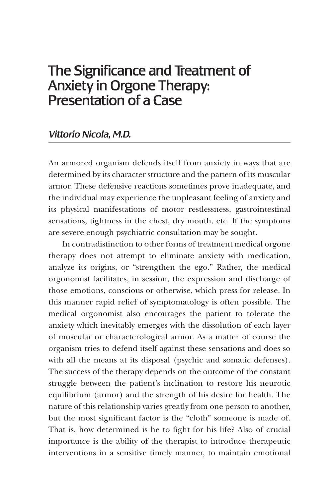# The Significance and Treatment of Anxiety in Orgone Therapy: Presentation of a Case

## *Vittorio Nicola, M.D.*

An armored organism defends itself from anxiety in ways that are determined by its character structure and the pattern of its muscular armor. These defensive reactions sometimes prove inadequate, and the individual may experience the unpleasant feeling of anxiety and its physical manifestations of motor restlessness, gastrointestinal sensations, tightness in the chest, dry mouth, etc. If the symptoms are severe enough psychiatric consultation may be sought.

In contradistinction to other forms of treatment medical orgone therapy does not attempt to eliminate anxiety with medication, analyze its origins, or "strengthen the ego." Rather, the medical orgonomist facilitates, in session, the expression and discharge of those emotions, conscious or otherwise, which press for release. In this manner rapid relief of symptomatology is often possible. The medical orgonomist also encourages the patient to tolerate the anxiety which inevitably emerges with the dissolution of each layer of muscular or characterological armor. As a matter of course the organism tries to defend itself against these sensations and does so with all the means at its disposal (psychic and somatic defenses). The success of the therapy depends on the outcome of the constant struggle between the patient's inclination to restore his neurotic equilibrium (armor) and the strength of his desire for health. The nature of this relationship varies greatly from one person to another, but the most significant factor is the "cloth" someone is made of. That is, how determined is he to fight for his life? Also of crucial importance is the ability of the therapist to introduce therapeutic interventions in a sensitive timely manner, to maintain emotional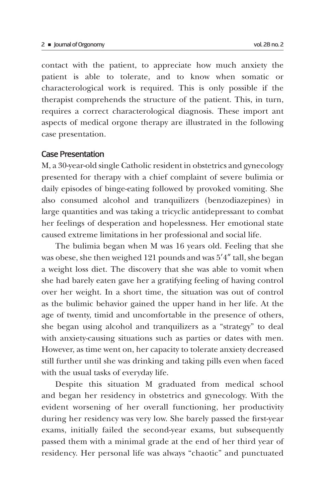contact with the patient, to appreciate how much anxiety the patient is able to tolerate, and to know when somatic or characterological work is required. This is only possible if the therapist comprehends the structure of the patient. This, in turn, requires a correct characterological diagnosis. These import ant aspects of medical orgone therapy are illustrated in the following case presentation.

#### Case Presentation

M, a 30-year-old single Catholic resident in obstetrics and gynecology presented for therapy with a chief complaint of severe bulimia or daily episodes of binge-eating followed by provoked vomiting. She also consumed alcohol and tranquilizers (benzodiazepines) in large quantities and was taking a tricyclic antidepressant to combat her feelings of desperation and hopelessness. Her emotional state caused extreme limitations in her professional and social life.

The bulimia began when M was 16 years old. Feeling that she was obese, she then weighed 121 pounds and was 5'4" tall, she began a weight loss diet. The discovery that she was able to vomit when she had barely eaten gave her a gratifying feeling of having control over her weight. In a short time, the situation was out of control as the bulimic behavior gained the upper hand in her life. At the age of twenty, timid and uncomfortable in the presence of others, she began using alcohol and tranquilizers as a "strategy" to deal with anxiety-causing situations such as parties or dates with men. However, as time went on, her capacity to tolerate anxiety decreased still further until she was drinking and taking pills even when faced with the usual tasks of everyday life.

Despite this situation M graduated from medical school and began her residency in obstetrics and gynecology. With the evident worsening of her overall functioning, her productivity during her residency was very low. She barely passed the first-year exams, initially failed the second-year exams, but subsequently passed them with a minimal grade at the end of her third year of residency. Her personal life was always "chaotic" and punctuated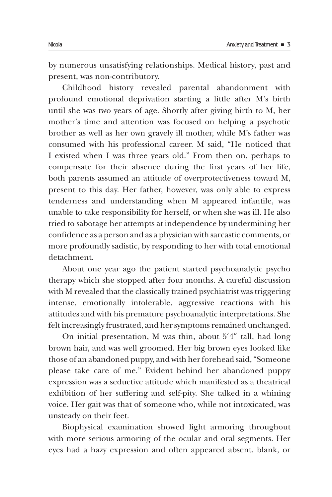by numerous unsatisfying relationships. Medical history, past and present, was non-contributory.

Childhood history revealed parental abandonment with profound emotional deprivation starting a little after M's birth until she was two years of age. Shortly after giving birth to M, her mother's time and attention was focused on helping a psychotic brother as well as her own gravely ill mother, while M's father was consumed with his professional career. M said, "He noticed that I existed when I was three years old." From then on, perhaps to compensate for their absence during the first years of her life, both parents assumed an attitude of overprotectiveness toward M, present to this day. Her father, however, was only able to express tenderness and understanding when M appeared infantile, was unable to take responsibility for herself, or when she was ill. He also tried to sabotage her attempts at independence by undermining her confidence as a person and as a physician with sarcastic comments, or more profoundly sadistic, by responding to her with total emotional detachment.

About one year ago the patient started psychoanalytic psycho therapy which she stopped after four months. A careful discussion with M revealed that the classically trained psychiatrist was triggering intense, emotionally intolerable, aggressive reactions with his attitudes and with his premature psychoanalytic interpretations. She felt increasingly frustrated, and her symptoms remained unchanged.

On initial presentation, M was thin, about  $5'4''$  tall, had long brown hair, and was well groomed. Her big brown eyes looked like those of an abandoned puppy, and with her forehead said, "Someone please take care of me." Evident behind her abandoned puppy expression was a seductive attitude which manifested as a theatrical exhibition of her suffering and self-pity. She talked in a whining voice. Her gait was that of someone who, while not intoxicated, was unsteady on their feet.

Biophysical examination showed light armoring throughout with more serious armoring of the ocular and oral segments. Her eyes had a hazy expression and often appeared absent, blank, or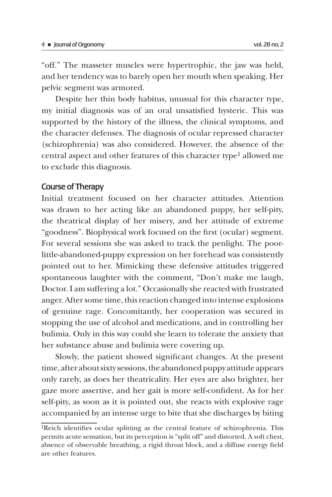"off." The masseter muscles were hypertrophic, the jaw was held, and her tendency was to barely open her mouth when speaking. Her pelvic segment was armored.

Despite her thin body habitus, unusual for this character type, my initial diagnosis was of an oral unsatisfied hysteric. This was supported by the history of the illness, the clinical symptoms, and the character defenses. The diagnosis of ocular repressed character (schizophrenia) was also considered. However, the absence of the central aspect and other features of this character type1 allowed me to exclude this diagnosis.

### Course of Therapy

Initial treatment focused on her character attitudes. Attention was drawn to her acting like an abandoned puppy, her self-pity, the theatrical display of her misery, and her attitude of extreme "goodness". Biophysical work focused on the first (ocular) segment. For several sessions she was asked to track the penlight. The poorlittle-abandoned-puppy expression on her forehead was consistently pointed out to her. Mimicking these defensive attitudes triggered spontaneous laughter with the comment, "Don't make me laugh, Doctor. I am suffering a lot." Occasionally she reacted with frustrated anger. After some time, this reaction changed into intense explosions of genuine rage. Concomitantly, her cooperation was secured in stopping the use of alcohol and medications, and in controlling her bulimia. Only in this way could she learn to tolerate the anxiety that her substance abuse and bulimia were covering up.

Slowly, the patient showed significant changes. At the present time, after about sixty sessions, the abandoned puppy attitude appears only rarely, as does her theatricality. Her eyes are also brighter, her gaze more assertive, and her gait is more self-confident. As for her self-pity, as soon as it is pointed out, she reacts with explosive rage accompanied by an intense urge to bite that she discharges by biting

<sup>1</sup>Reich identifies ocular splitting as the central feature of schizophrenia. This permits acute sensation, but its perception is "split off" and distorted. A soft chest, absence of observable breathing, a rigid throat block, and a diffuse energy field are other features.